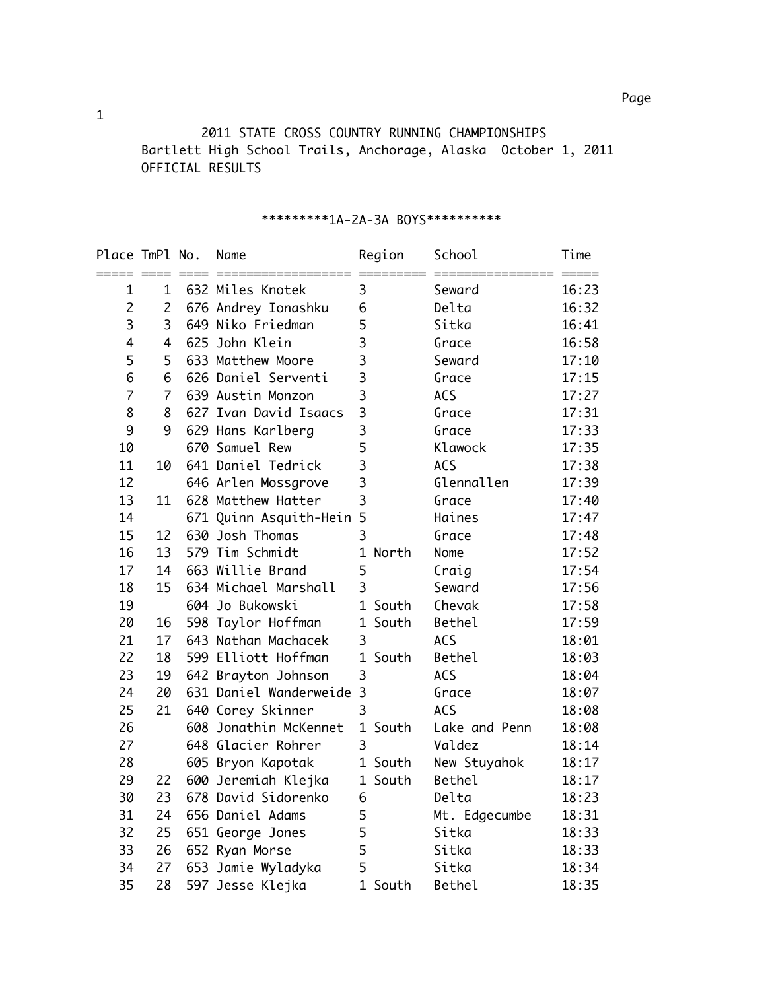2011 STATE CROSS COUNTRY RUNNING CHAMPIONSHIPS Bartlett High School Trails, Anchorage, Alaska October 1, 2011 OFFICIAL RESULTS

| Place TmPl No.  |                | Name                     |                         | Region  | School        | Time                                                |
|-----------------|----------------|--------------------------|-------------------------|---------|---------------|-----------------------------------------------------|
| ===== ====<br>1 | 1              | 632 Miles Knotek         | 3                       |         | Seward        | $\qquad \qquad \overline{\qquad \qquad }=$<br>16:23 |
| $\overline{c}$  | $\overline{2}$ | 676 Andrey Ionashku      | 6                       |         | Delta         | 16:32                                               |
| 3               | 3              | 649 Niko Friedman        | 5                       |         | Sitka         | 16:41                                               |
| $\overline{4}$  | 4              | 625 John Klein           | 3                       |         | Grace         | 16:58                                               |
| 5               | 5              | 633 Matthew Moore        | 3                       |         | Seward        | 17:10                                               |
| 6               | 6              | 626 Daniel Serventi      | 3                       |         | Grace         | 17:15                                               |
| $\overline{7}$  | $\overline{7}$ | 639 Austin Monzon        | 3                       |         | <b>ACS</b>    | 17:27                                               |
| 8               | 8              | 627 Ivan David Isaacs    | $\overline{\mathbf{3}}$ |         | Grace         | 17:31                                               |
| 9               | 9              | 629 Hans Karlberg        | 3                       |         | Grace         | 17:33                                               |
| 10              |                | 670 Samuel Rew           | 5                       |         | Klawock       | 17:35                                               |
| 11              | 10             | 641 Daniel Tedrick       | 3                       |         | <b>ACS</b>    | 17:38                                               |
| 12              |                | 646 Arlen Mossgrove      | 3                       |         | Glennallen    | 17:39                                               |
| 13              | 11             | 628 Matthew Hatter       | $\overline{\mathbf{3}}$ |         | Grace         | 17:40                                               |
| 14              |                | 671 Quinn Asquith-Hein 5 |                         |         | Haines        | 17:47                                               |
| 15              | 12             | 630 Josh Thomas          | 3                       |         | Grace         | 17:48                                               |
| 16              | 13             | 579 Tim Schmidt          | $\mathbf{1}$            | North   | Nome          | 17:52                                               |
| 17              | 14             | 663 Willie Brand         | 5                       |         | Craig         | 17:54                                               |
| 18              | 15             | 634 Michael Marshall     | $\overline{3}$          |         | Seward        | 17:56                                               |
| 19              |                | 604 Jo Bukowski          |                         | 1 South | Chevak        | 17:58                                               |
| 20              | 16             | 598 Taylor Hoffman       |                         | 1 South | Bethel        | 17:59                                               |
| 21              | 17             | 643 Nathan Machacek      | 3                       |         | <b>ACS</b>    | 18:01                                               |
| 22              | 18             | 599 Elliott Hoffman      |                         | 1 South | Bethel        | 18:03                                               |
| 23              | 19             | 642 Brayton Johnson      | 3                       |         | <b>ACS</b>    | 18:04                                               |
| 24              | 20             | 631 Daniel Wanderweide   | $\overline{3}$          |         | Grace         | 18:07                                               |
| 25              | 21             | 640 Corey Skinner        | 3                       |         | <b>ACS</b>    | 18:08                                               |
| 26              |                | 608 Jonathin McKennet    |                         | 1 South | Lake and Penn | 18:08                                               |
| 27              |                | 648 Glacier Rohrer       | 3                       |         | Valdez        | 18:14                                               |
| 28              |                | 605 Bryon Kapotak        |                         | 1 South | New Stuyahok  | 18:17                                               |
| 29              | 22             | 600 Jeremiah Klejka      |                         | 1 South | Bethel        | 18:17                                               |
| 30              | 23             | 678 David Sidorenko      | 6                       |         | Delta         | 18:23                                               |
| 31              | 24             | 656 Daniel Adams         | 5                       |         | Mt. Edgecumbe | 18:31                                               |
| 32              | 25             | 651 George Jones         | 5                       |         | Sitka         | 18:33                                               |
| 33              | 26             | 652 Ryan Morse           | 5                       |         | Sitka         | 18:33                                               |
| 34              | 27             | 653 Jamie Wyladyka       | 5                       |         | Sitka         | 18:34                                               |
| 35              | 28             | 597 Jesse Klejka         | $\mathbf{1}$            | South   | Bethel        | 18:35                                               |

### \*\*\*\*\*\*\*\*\*1A-2A-3A BOYS\*\*\*\*\*\*\*\*\*\*

1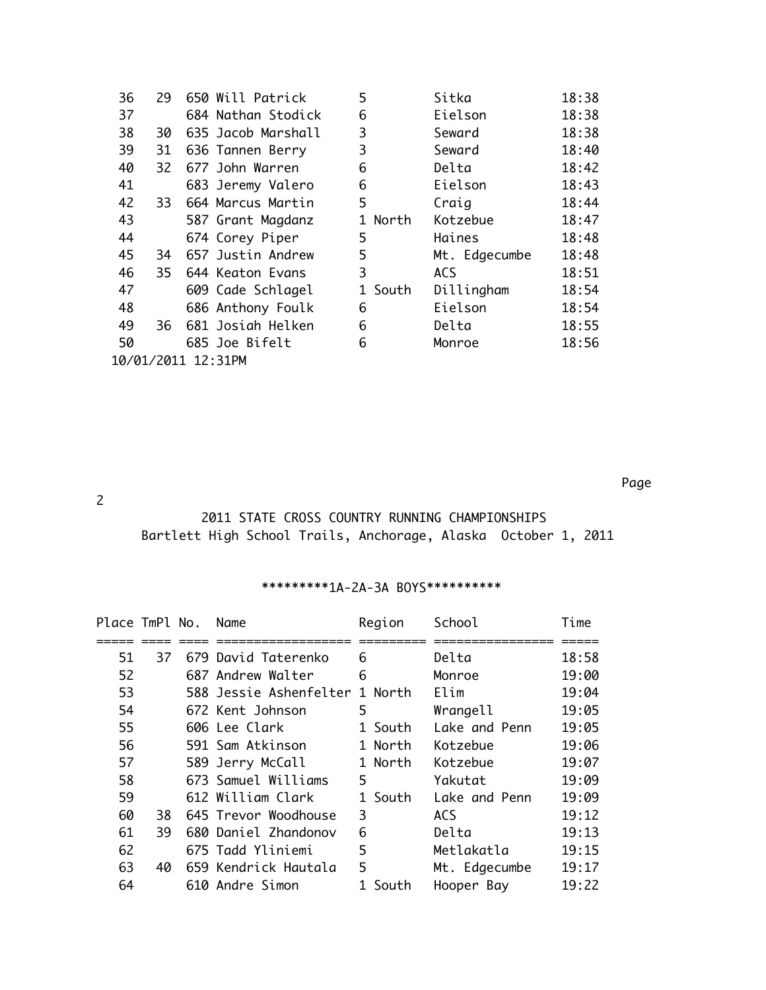| 36                 | 29  | 650 Will Patrick   | 5       | Sitka         | 18:38 |  |  |  |
|--------------------|-----|--------------------|---------|---------------|-------|--|--|--|
| 37                 |     | 684 Nathan Stodick | 6       | Eielson       | 18:38 |  |  |  |
| 38                 | 30  | 635 Jacob Marshall | 3       | Seward        | 18:38 |  |  |  |
| 39                 | 31  | 636 Tannen Berry   | 3       | Seward        | 18:40 |  |  |  |
| 40                 | 32  | 677 John Warren    | 6       | Delta         | 18:42 |  |  |  |
| 41                 |     | 683 Jeremy Valero  | 6       | Eielson       | 18:43 |  |  |  |
| 42                 | 33. | 664 Marcus Martin  | 5       | Craig         | 18:44 |  |  |  |
| 43                 |     | 587 Grant Magdanz  | 1 North | Kotzebue      | 18:47 |  |  |  |
| 44                 |     | 674 Corey Piper    | 5       | Haines        | 18:48 |  |  |  |
| 45                 | 34  | 657 Justin Andrew  | 5       | Mt. Edgecumbe | 18:48 |  |  |  |
| 46                 | 35  | 644 Keaton Evans   | 3       | <b>ACS</b>    | 18:51 |  |  |  |
| 47                 |     | 609 Cade Schlagel  | 1 South | Dillingham    | 18:54 |  |  |  |
| 48                 |     | 686 Anthony Foulk  | 6       | Eielson       | 18:54 |  |  |  |
| 49                 | 36  | 681 Josiah Helken  | 6       | Delta         | 18:55 |  |  |  |
| 50                 |     | 685 Joe Bifelt     | 6       | Monroe        | 18:56 |  |  |  |
| 10/01/2011 12:31PM |     |                    |         |               |       |  |  |  |

na a bhainn ann an 1972. Tha ann an 1972 agus an 1972 agus an 1972 agus an 1972 agus an 1972. Tha an 1972 agus

### 2

## 2011 STATE CROSS COUNTRY RUNNING CHAMPIONSHIPS Bartlett High School Trails, Anchorage, Alaska October 1, 2011

# \*\*\*\*\*\*\*\*\*1A-2A-3A BOYS\*\*\*\*\*\*\*\*\*\*

| Place TmPl No. |    | Name                           | Region  | School        | Time  |
|----------------|----|--------------------------------|---------|---------------|-------|
|                |    |                                |         |               |       |
| 51             | 37 | 679 David Taterenko            | 6       | Delta         | 18:58 |
| 52             |    | 687 Andrew Walter              | 6       | Monroe        | 19:00 |
| 53             |    | 588 Jessie Ashenfelter 1 North |         | Elim          | 19:04 |
| 54             |    | 672 Kent Johnson               | 5       | Wrangell      | 19:05 |
| 55             |    | 606 Lee Clark                  | 1 South | Lake and Penn | 19:05 |
| 56             |    | 591 Sam Atkinson               | 1 North | Kotzebue      | 19:06 |
| 57             |    | 589 Jerry McCall               | 1 North | Kotzebue      | 19:07 |
| 58             |    | 673 Samuel Williams            | 5       | Yakutat       | 19:09 |
| 59             |    | 612 William Clark              | 1 South | Lake and Penn | 19:09 |
| 60             | 38 | 645 Trevor Woodhouse           | 3       | <b>ACS</b>    | 19:12 |
| 61             | 39 | 680 Daniel Zhandonov           | 6       | Delta         | 19:13 |
| 62             |    | 675 Tadd Yliniemi              | 5       | Metlakatla    | 19:15 |
| 63             | 40 | 659 Kendrick Hautala           | 5       | Mt. Edgecumbe | 19:17 |
| 64             |    | 610 Andre Simon                | South   | Hooper Bay    | 19:22 |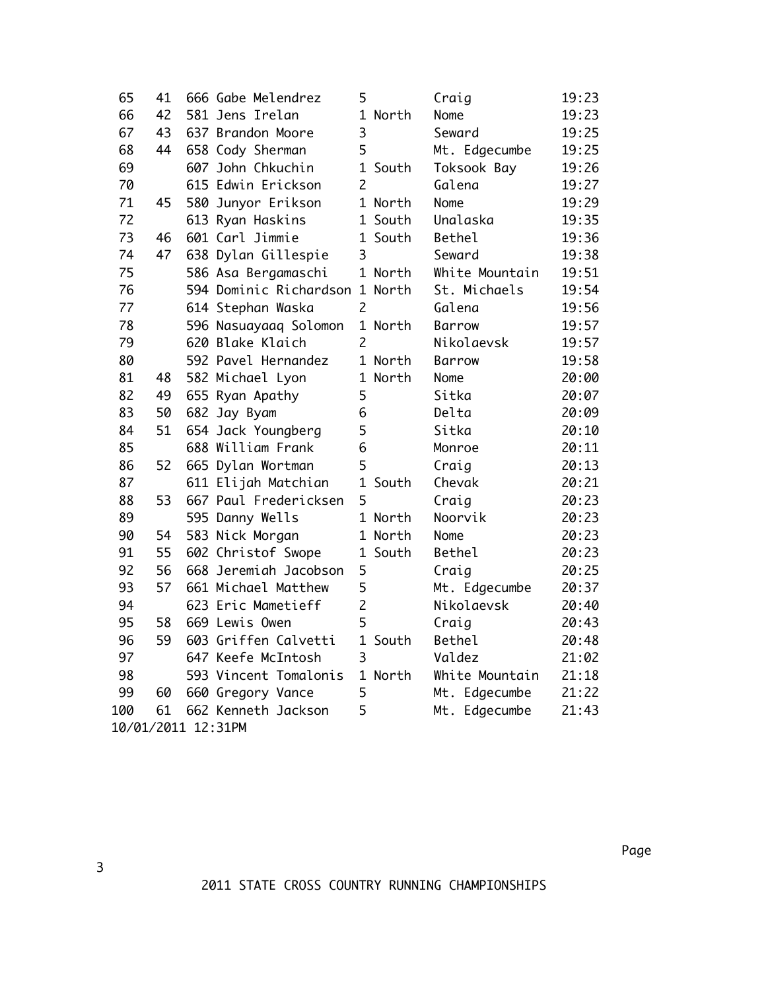| 65                 | 41 |  | 666 Gabe Melendrez             | 5              |         | Craig          | 19:23 |
|--------------------|----|--|--------------------------------|----------------|---------|----------------|-------|
| 66                 | 42 |  | 581 Jens Irelan                |                | 1 North | Nome           | 19:23 |
| 67                 | 43 |  | 637 Brandon Moore              | 3              |         | Seward         | 19:25 |
| 68                 | 44 |  | 658 Cody Sherman               | 5              |         | Mt. Edgecumbe  | 19:25 |
| 69                 |    |  | 607 John Chkuchin              |                | 1 South | Toksook Bay    | 19:26 |
| 70                 |    |  | 615 Edwin Erickson             | $\overline{2}$ |         | Galena         | 19:27 |
| 71                 | 45 |  | 580 Junyor Erikson             |                | 1 North | Nome           | 19:29 |
| 72                 |    |  | 613 Ryan Haskins               |                | 1 South | Unalaska       | 19:35 |
| 73                 | 46 |  | 601 Carl Jimmie                |                | 1 South | Bethel         | 19:36 |
| 74                 | 47 |  | 638 Dylan Gillespie            | 3              |         | Seward         | 19:38 |
| 75                 |    |  | 586 Asa Bergamaschi            |                | 1 North | White Mountain | 19:51 |
| 76                 |    |  | 594 Dominic Richardson 1 North |                |         | St. Michaels   | 19:54 |
| 77                 |    |  | 614 Stephan Waska              | $\overline{2}$ |         | Galena         | 19:56 |
| 78                 |    |  | 596 Nasuayaaq Solomon          |                | 1 North | Barrow         | 19:57 |
| 79                 |    |  | 620 Blake Klaich               | $\overline{c}$ |         | Nikolaevsk     | 19:57 |
| 80                 |    |  | 592 Pavel Hernandez            |                | 1 North | Barrow         | 19:58 |
| 81                 | 48 |  | 582 Michael Lyon               |                | 1 North | Nome           | 20:00 |
| 82                 | 49 |  | 655 Ryan Apathy                | 5              |         | Sitka          | 20:07 |
| 83                 | 50 |  | 682 Jay Byam                   | 6              |         | Delta          | 20:09 |
| 84                 | 51 |  | 654 Jack Youngberg             | 5              |         | Sitka          | 20:10 |
| 85                 |    |  | 688 William Frank              | 6              |         | Monroe         | 20:11 |
| 86                 | 52 |  | 665 Dylan Wortman              | 5              |         | Craig          | 20:13 |
| 87                 |    |  | 611 Elijah Matchian            | $\mathbf{1}$   | South   | Chevak         | 20:21 |
| 88                 | 53 |  | 667 Paul Fredericksen          | 5              |         | Craig          | 20:23 |
| 89                 |    |  | 595 Danny Wells                |                | 1 North | Noorvik        | 20:23 |
| 90                 | 54 |  | 583 Nick Morgan                |                | 1 North | Nome           | 20:23 |
| 91                 | 55 |  | 602 Christof Swope             |                | 1 South | Bethel         | 20:23 |
| 92                 | 56 |  | 668 Jeremiah Jacobson          | 5              |         | Craig          | 20:25 |
| 93                 | 57 |  | 661 Michael Matthew            | 5              |         | Mt. Edgecumbe  | 20:37 |
| 94                 |    |  | 623 Eric Mametieff             | $\overline{c}$ |         | Nikolaevsk     | 20:40 |
| 95                 | 58 |  | 669 Lewis Owen                 | 5              |         | Craig          | 20:43 |
| 96                 | 59 |  | 603 Griffen Calvetti           | $\mathbf{1}$   | South   | Bethel         | 20:48 |
| 97                 |    |  | 647 Keefe McIntosh             | 3              |         | Valdez         | 21:02 |
| 98                 |    |  | 593 Vincent Tomalonis          |                | 1 North | White Mountain | 21:18 |
| 99                 | 60 |  | 660 Gregory Vance              | 5              |         | Mt. Edgecumbe  | 21:22 |
| 100                | 61 |  | 662 Kenneth Jackson            | 5              |         | Mt. Edgecumbe  | 21:43 |
| 10/01/2011 12:31PM |    |  |                                |                |         |                |       |

na a bhainn ann an 1972. Tha ann an 1972 agus an 1972 agus an 1972 agus an 1972 agus an 1972. Tha an 1972 agus

2011 STATE CROSS COUNTRY RUNNING CHAMPIONSHIPS

3